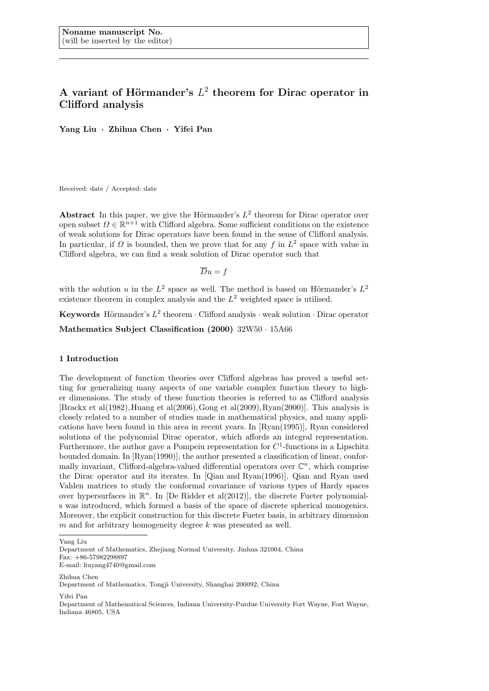# A variant of Hörmander's  $L^2$  theorem for Dirac operator in **Clifford analysis**

**Yang Liu** *·* **Zhihua Chen** *·* **Yifei Pan**

Received: date / Accepted: date

Abstract In this paper, we give the Hörmander's  $L^2$  theorem for Dirac operator over open subset  $\Omega \in \mathbb{R}^{n+1}$  with Clifford algebra. Some sufficient conditions on the existence of weak solutions for Dirac operators have been found in the sense of Clifford analysis. In particular, if  $\Omega$  is bounded, then we prove that for any  $f$  in  $L^2$  space with value in Clifford algebra, we can find a weak solution of Dirac operator such that

$$
\overline{D}u=f
$$

with the solution *u* in the  $L^2$  space as well. The method is based on Hörmander's  $L^2$ existence theorem in complex analysis and the *L* <sup>2</sup> weighted space is utilised.

**Keywords** Hörmander's  $L^2$  theorem  $\cdot$  Clifford analysis  $\cdot$  weak solution  $\cdot$  Dirac operator

**Mathematics Subject Classification (2000)** 32W50 *·* 15A66

#### **1 Introduction**

The development of function theories over Clifford algebras has proved a useful setting for generalizing many aspects of one variable complex function theory to higher dimensions. The study of these function theories is referred to as Clifford analysis [Brackx et al(1982),Huang et al(2006),Gong et al(2009),Ryan(2000)]. This analysis is closely related to a number of studies made in mathematical physics, and many applications have been found in this area in recent years. In [Ryan(1995)], Ryan considered solutions of the polynomial Dirac operator, which affords an integral representation. Furthermore, the author gave a Pompeiu representation for  $C<sup>1</sup>$ -functions in a Lipschitz bounded domain. In [Ryan(1990)], the author presented a classification of linear, conformally invariant, Clifford-algebra-valued differential operators over  $\mathbb{C}^n$ , which comprise the Dirac operator and its iterates. In [Qian and Ryan(1996)], Qian and Ryan used Vahlen matrices to study the conformal covariance of various types of Hardy spaces over hypersurfaces in  $\mathbb{R}^n$ . In [De Ridder et al(2012)], the discrete Fueter polynomials was introduced, which formed a basis of the space of discrete spherical monogenics. Moreover, the explicit construction for this discrete Fueter basis, in arbitrary dimension *m* and for arbitrary homogeneity degree *k* was presented as well.

Zhihua Chen

Yifei Pan

Yang Liu

Department of Mathematics, Zhejiang Normal University, Jinhua 321004, China Fax: +86-57982298897 E-mail: liuyang4740@gmail.com

Department of Mathematics, Tongji University, Shanghai 200092, China

Department of Mathematical Sciences, Indiana University-Purdue University Fort Wayne, Fort Wayne, Indiana 46805, USA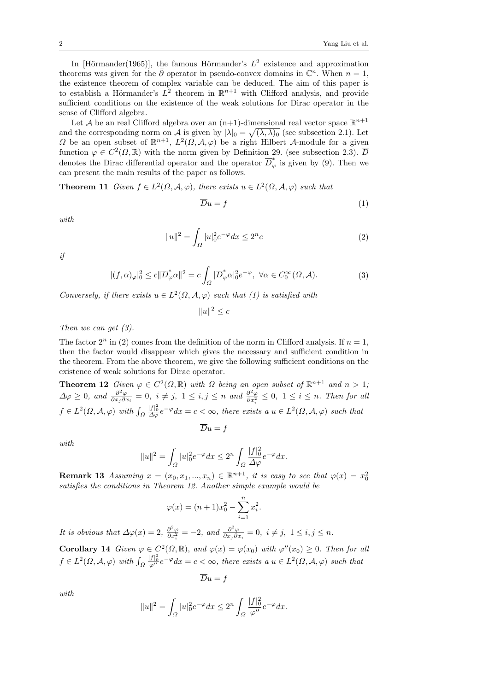In [Hörmander(1965)], the famous Hörmander's  $L^2$  existence and approximation theorems was given for the  $\bar{\partial}$  operator in pseudo-convex domains in  $\mathbb{C}^n$ . When  $n=1$ , the existence theorem of complex variable can be deduced. The aim of this paper is to establish a Hörmander's  $L^2$  theorem in  $\mathbb{R}^{n+1}$  with Clifford analysis, and provide sufficient conditions on the existence of the weak solutions for Dirac operator in the sense of Clifford algebra.

Let  $\mathcal A$  be an real Clifford algebra over an  $(n+1)$ -dimensional real vector space  $\mathbb R^{n+1}$ and the corresponding norm on *A* is given by  $|\lambda|_0 = \sqrt{(\lambda, \lambda)_0}$  (see subsection 2.1). Let *Ω* be an open subset of  $\mathbb{R}^{n+1}$ ,  $L^2(\Omega, \mathcal{A}, \varphi)$  be a right Hilbert *A*-module for a given function  $\varphi \in C^2(\Omega, \mathbb{R})$  with the norm given by Definition 29. (see subsection 2.3).  $\overline{D}$ denotes the Dirac differential operator and the operator  $\overline{D}_{\varphi}^*$  is given by (9). Then we can present the main results of the paper as follows.

**Theorem 11** *Given*  $f \in L^2(\Omega, \mathcal{A}, \varphi)$ *, there exists*  $u \in L^2(\Omega, \mathcal{A}, \varphi)$  *such that* 

$$
\overline{D}u = f \tag{1}
$$

*with*

$$
||u||^2 = \int_{\Omega} |u|_0^2 e^{-\varphi} dx \le 2^n c \tag{2}
$$

*if*

$$
|(f,\alpha)_{\varphi}|_{0}^{2} \le c \|\overline{D}^*_{\varphi}\alpha\|^2 = c \int_{\Omega} |\overline{D}^*_{\varphi}\alpha|_{0}^{2} e^{-\varphi}, \ \forall \alpha \in C_{0}^{\infty}(\Omega, \mathcal{A}).
$$
\n(3)

*Conversely, if there exists*  $u \in L^2(\Omega, \mathcal{A}, \varphi)$  *such that (1) is satisfied with* 

 $||u||^2$  ≤ *c* 

*Then we can get (3).*

The factor  $2^n$  in (2) comes from the definition of the norm in Clifford analysis. If  $n = 1$ , then the factor would disappear which gives the necessary and sufficient condition in the theorem. From the above theorem, we give the following sufficient conditions on the existence of weak solutions for Dirac operator.

**Theorem 12** *Given*  $\varphi \in C^2(\Omega, \mathbb{R})$  *with*  $\Omega$  *being an open subset of*  $\mathbb{R}^{n+1}$  *and*  $n > 1$ *;*  $\Delta \varphi \geq 0$ *, and*  $\frac{\partial^2 \varphi}{\partial x_i \partial y_j}$  $\frac{\partial^2 \varphi}{\partial x_j \partial x_i} = 0$ ,  $i \neq j$ ,  $1 \leq i, j \leq n$  and  $\frac{\partial^2 \varphi}{\partial x_i^2}$  $\frac{\partial^2 \varphi}{\partial x_i^2}$  ≤ 0, 1 ≤ *i* ≤ *n. Then for all*  $f \in L^2(\Omega, \mathcal{A}, \varphi)$  with  $\int_{\Omega} \frac{|f|^2_0}{\Delta \varphi} e^{-\varphi} dx = c < \infty$ , there exists  $a u \in L^2(\Omega, \mathcal{A}, \varphi)$  such that

$$
\overline{D}u = f
$$

*with*

$$
||u||^2 = \int_{\Omega} |u|_0^2 e^{-\varphi} dx \le 2^n \int_{\Omega} \frac{|f|_0^2}{\Delta \varphi} e^{-\varphi} dx.
$$

**Remark 13** *Assuming*  $x = (x_0, x_1, ..., x_n) \in \mathbb{R}^{n+1}$ , *it is easy to see that*  $\varphi(x) = x_0^2$ *satisfies the conditions in Theorem 12. Another simple example would be*

$$
\varphi(x) = (n+1)x_0^2 - \sum_{i=1}^n x_i^2.
$$

*It is obvious that*  $\Delta \varphi(x) = 2$ ,  $\frac{\partial^2 \varphi}{\partial x^2}$  $\frac{\partial^2 \varphi}{\partial x_i^2} = -2$ , and  $\frac{\partial^2 \varphi}{\partial x_j \partial x_j}$  $\frac{\partial^2 \varphi}{\partial x_j \partial x_i} = 0$ ,  $i \neq j$ ,  $1 \leq i, j \leq n$ .

**Corollary 14** *Given*  $\varphi \in C^2(\Omega, \mathbb{R})$ *, and*  $\varphi(x) = \varphi(x_0)$  *with*  $\varphi''(x_0) \geq 0$ *. Then for all*  $f \in L^2(\Omega, \mathcal{A}, \varphi)$  with  $\int_{\Omega} \frac{|f|^2_0}{\varphi''} e^{-\varphi} dx = c < \infty$ , there exists  $a u \in L^2(\Omega, \mathcal{A}, \varphi)$  such that

$$
\overline{D}u = f
$$

*with*

$$
||u||^{2} = \int_{\Omega} |u|_{0}^{2} e^{-\varphi} dx \le 2^{n} \int_{\Omega} \frac{|f|_{0}^{2}}{\varphi''} e^{-\varphi} dx.
$$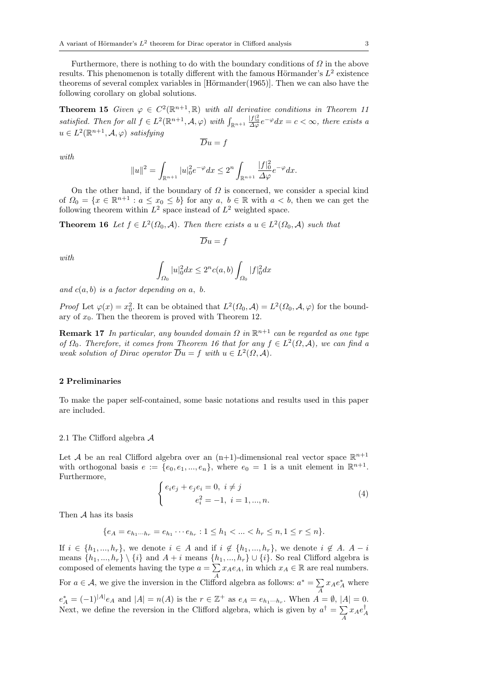Furthermore, there is nothing to do with the boundary conditions of *Ω* in the above results. This phenomenon is totally different with the famous Hörmander's  $L^2$  existence theorems of several complex variables in  $[Hörmander(1965)]$ . Then we can also have the following corollary on global solutions.

**Theorem 15** *Given*  $\varphi \in C^2(\mathbb{R}^{n+1}, \mathbb{R})$  *with all derivative conditions in Theorem 11* satisfied. Then for all  $f \in L^2(\mathbb{R}^{n+1}, \mathcal{A}, \varphi)$  with  $\int_{\mathbb{R}^{n+1}} \frac{|f|^2_0}{\Delta \varphi} e^{-\varphi} dx = c < \infty$ , there exists a  $u \in L^2(\mathbb{R}^{n+1}, \mathcal{A}, \varphi)$  *satisfying* 

$$
\overline{D}u=f
$$

*with*

$$
||u||^{2} = \int_{\mathbb{R}^{n+1}} |u|_{0}^{2} e^{-\varphi} dx \leq 2^{n} \int_{\mathbb{R}^{n+1}} \frac{|f|_{0}^{2}}{\Delta \varphi} e^{-\varphi} dx.
$$

On the other hand, if the boundary of *Ω* is concerned, we consider a special kind of  $\Omega_0 = \{x \in \mathbb{R}^{n+1} : a \leq x_0 \leq b\}$  for any  $a, b \in \mathbb{R}$  with  $a < b$ , then we can get the following theorem within  $L^2$  space instead of  $L^2$  weighted space.

**Theorem 16** *Let*  $f \in L^2(\Omega_0, \mathcal{A})$ *. Then there exists a*  $u \in L^2(\Omega_0, \mathcal{A})$  *such that* 

$$
\overline{D}u=f
$$

*with*

$$
\int_{\varOmega_{0}}|u|_{0}^{2}dx\leq2^{n}c(a,b)\int_{\varOmega_{0}}|f|_{0}^{2}dx
$$

*and*  $c(a, b)$  *is a factor depending on a, b.* 

*Proof* Let  $\varphi(x) = x_0^2$ . It can be obtained that  $L^2(\Omega_0, \mathcal{A}) = L^2(\Omega_0, \mathcal{A}, \varphi)$  for the boundary of  $x_0$ . Then the theorem is proved with Theorem 12.

**Remark 17** *In particular, any bounded domain Ω in* R *<sup>n</sup>*+1 *can be regarded as one type of*  $\Omega_0$ *. Therefore, it comes from Theorem 16 that for any*  $f \in L^2(\Omega, \mathcal{A})$ *, we can find a weak solution of Dirac operator*  $\overline{D}u = f$  *with*  $u \in L^2(\Omega, \mathcal{A})$ .

### **2 Preliminaries**

To make the paper self-contained, some basic notations and results used in this paper are included.

#### 2.1 The Clifford algebra *A*

Let *A* be an real Clifford algebra over an  $(n+1)$ -dimensional real vector space  $\mathbb{R}^{n+1}$ with orthogonal basis  $e := \{e_0, e_1, ..., e_n\}$ , where  $e_0 = 1$  is a unit element in  $\mathbb{R}^{n+1}$ . Furthermore,

$$
\begin{cases} e_i e_j + e_j e_i = 0, \ i \neq j \\ e_i^2 = -1, \ i = 1, ..., n. \end{cases} \tag{4}
$$

Then *A* has its basis

$$
\{e_A = e_{h_1\cdots h_r} = e_{h_1}\cdots e_{h_r} : 1 \le h_1 < \ldots < h_r \le n, 1 \le r \le n\}.
$$

If  $i \in \{h_1, ..., h_r\}$ , we denote  $i \in A$  and if  $i \notin \{h_1, ..., h_r\}$ , we denote  $i \notin A$ .  $A - i$ means  $\{h_1, ..., h_r\} \setminus \{i\}$  and  $A + i$  means  $\{h_1, ..., h_r\} \cup \{i\}$ . So real Clifford algebra is composed of elements having the type  $a = \sum x_A e_A$ , in which  $x_A \in \mathbb{R}$  are real numbers. For *a*  $\in$  *A*, we give the inversion in the Clifford algebra as follows:  $a^* = \sum$  $\sum_{A} x_A e_A^*$  where  $e_A^* = (-1)^{|A|} e_A$  and  $|A| = n(A)$  is the  $r \in \mathbb{Z}^+$  as  $e_A = e_{h_1 \cdots h_r}$ . When  $A = \emptyset$ ,  $|A| = 0$ . Next, we define the reversion in the Clifford algebra, which is given by  $a^{\dagger} = \sum$  $\sum_{A} x_A e_A^\intercal$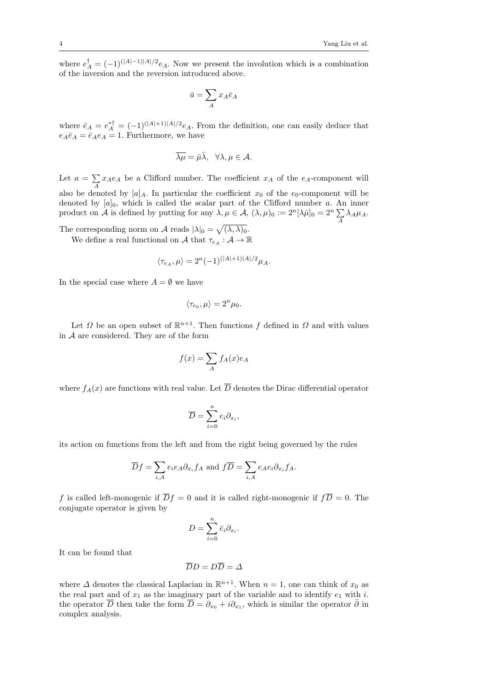where  $e^{\dagger}_A = (-1)^{(|A|-1)|A|/2} e_A$ . Now we present the involution which is a combination of the inversion and the reversion introduced above.

$$
\bar{a}=\sum\limits_{A}x_A\bar{e}_A
$$

where  $\bar{e}_A = e_A^*{}^{\dagger} = (-1)^{(|A|+1)|A|/2} e_A$ . From the definition, one can easily deduce that  $e_A\bar{e}_A=\bar{e}_Ae_A=1$ . Furthermore, we have

$$
\overline{\lambda\mu} = \bar{\mu}\bar{\lambda}, \quad \forall \lambda, \mu \in \mathcal{A}.
$$

Let  $a = \sum$  $\sum_{A} x_A e_A$  be a Clifford number. The coefficient  $x_A$  of the  $e_A$ -component will also be denoted by  $[a]_A$ . In particular the coefficient  $x_0$  of the  $e_0$ -component will be denoted by  $[a]_0$ , which is called the scalar part of the Clifford number *a*. An inner product on *A* is defined by putting for any  $\lambda, \mu \in A$ ,  $(\lambda, \mu)_0 := 2^n [\lambda \bar{\mu}]_0 = 2^n \sum_A \lambda_A \mu_A$ .

The corresponding norm on *A* reads  $|\lambda|_0 = \sqrt{(\lambda, \lambda)_0}$ .

We define a real functional on *A* that  $\tau_{e_A}: A \to \mathbb{R}$ 

$$
\langle \tau_{e_A}, \mu \rangle = 2^n (-1)^{(|A|+1)|A|/2} \mu_A.
$$

In the special case where  $A = \emptyset$  we have

$$
\langle \tau_{e_0}, \mu \rangle = 2^n \mu_0.
$$

Let  $\Omega$  be an open subset of  $\mathbb{R}^{n+1}$ . Then functions  $f$  defined in  $\Omega$  and with values in *A* are considered. They are of the form

$$
f(x) = \sum_{A} f_A(x)e_A
$$

where  $f_A(x)$  are functions with real value. Let  $\overline{D}$  denotes the Dirac differential operator

$$
\overline{D} = \sum_{i=0}^{n} e_i \partial_{x_i},
$$

its action on functions from the left and from the right being governed by the rules

$$
\overline{D}f = \sum_{i,A} e_i e_A \partial_{x_i} f_A \text{ and } f\overline{D} = \sum_{i,A} e_A e_i \partial_{x_i} f_A.
$$

*f* is called left-monogenic if  $\overline{D}f = 0$  and it is called right-monogenic if  $f\overline{D} = 0$ . The conjugate operator is given by

$$
D=\sum_{i=0}^n \bar{e}_i \partial_{x_i}.
$$

It can be found that

$$
\overline{D}D=D\overline{D}=\Delta
$$

where  $\Delta$  denotes the classical Laplacian in  $\mathbb{R}^{n+1}$ . When  $n = 1$ , one can think of  $x_0$  as the real part and of  $x_1$  as the imaginary part of the variable and to identify  $e_1$  with  $i$ . the operator  $\overline{D}$  then take the form  $\overline{D} = \partial_{x_0} + i \partial_{x_1}$ , which is similar the operator  $\overline{\partial}$  in complex analysis.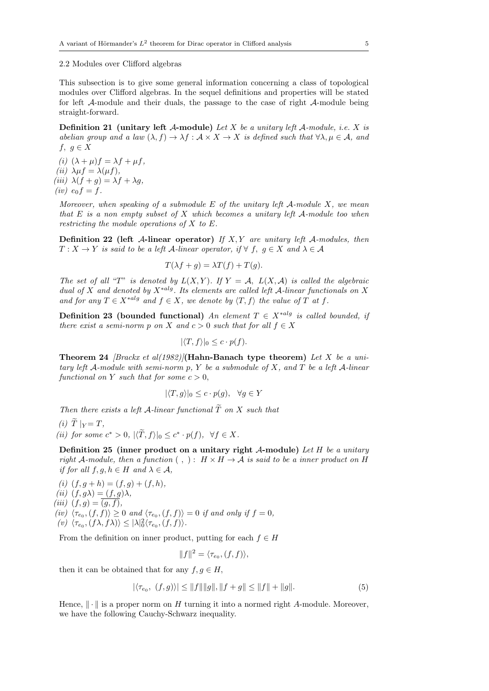2.2 Modules over Clifford algebras

This subsection is to give some general information concerning a class of topological modules over Clifford algebras. In the sequel definitions and properties will be stated for left *A*-module and their duals, the passage to the case of right *A*-module being straight-forward.

**Definition 21 (unitary left** *A***-module)** *Let X be a unitary left A-module, i.e. X is abelian group and a law*  $(\lambda, f) \to \lambda f : \mathcal{A} \times X \to X$  *is defined such that*  $\forall \lambda, \mu \in \mathcal{A}$ *, and f*, *g* ∈ *X* 

 $(i)$   $(\lambda + \mu)f = \lambda f + \mu f$ ,  $(iii)$   $\lambda \mu f = \lambda(\mu f)$ ,  $(iii)$   $\lambda(f+g) = \lambda f + \lambda g$  $(iv) e_0 f = f.$ 

*Moreover, when speaking of a submodule E of the unitary left A-module X, we mean that E is a non empty subset of X which becomes a unitary left A-module too when restricting the module operations of X to E.*

**Definition 22 (left** *A***-linear operator)** *If X, Y are unitary left A-modules, then*  $T: X \to Y$  *is said to be a left A-linear operator, if*  $\forall$  *f*, *g*  $\in$  *X and*  $\lambda \in \mathcal{A}$ 

$$
T(\lambda f + g) = \lambda T(f) + T(g).
$$

*The set of all* "*T*" *is denoted by*  $L(X, Y)$ *. If*  $Y = A$ *,*  $L(X, A)$  *is called the algebraic dual of X and denoted by X∗alg. Its elements are called left A-linear functionals on X and for any*  $T \in X^{*alg}$  *and*  $f \in X$ *, we denote by*  $\langle T, f \rangle$  *the value of*  $T$  *at*  $f$ *.* 

**Definition 23** (bounded functional) *An element*  $T \in X^{*alg}$  *is called bounded, if there exist a semi-norm p on X and*  $c > 0$  *such that for all*  $f \in X$ 

$$
|\langle T, f \rangle|_0 \leq c \cdot p(f).
$$

**Theorem 24** *[Brackx et al(1982)]***(Hahn-Banach type theorem)** *Let X be a unitary left A-module with semi-norm p, Y be a submodule of X, and T be a left A-linear functional on Y such that for some*  $c > 0$ *,* 

$$
|\langle T, g \rangle|_0 \le c \cdot p(g), \quad \forall g \in Y
$$

*Then there exists a left*  $A$ *-linear functional*  $\widetilde{T}$  *on*  $X$  *such that* 

 $(i)$   $\widetilde{T}$   $|_{Y} = T$ , *(ii) for some*  $c^* > 0$ ,  $|\langle T, f \rangle|_0 \le c^* \cdot p(f)$ ,  $\forall f \in X$ .

**Definition 25 (inner product on a unitary right** *A***-module)** *Let H be a unitary right A*-module, then a function  $( , ) : H \times H \rightarrow A$  is said to be a inner product on H *if for all*  $f, g, h \in H$  *and*  $\lambda \in \mathcal{A}$ *,* 

 $(i)$   $(f, g + h) = (f, g) + (f, h)$ ,  $(iii)$   $(f, g\lambda) = (f, g)\lambda$ ,  $(iii)$   $(f, g) = (g, f)$ ,  $\langle iv \rangle$   $\langle \tau_{e_0}, (f, f) \rangle \geq 0$  *and*  $\langle \tau_{e_0}, (f, f) \rangle = 0$  *if and only if*  $f = 0$ *,*  $\langle v \rangle \langle \tau_{e_0}, (f \lambda, f \lambda) \rangle \leq |\lambda|_0^2 \langle \tau_{e_0}, (f, f) \rangle.$ 

From the definition on inner product, putting for each  $f \in H$ 

$$
||f||^2 = \langle \tau_{e_0}, (f, f) \rangle,
$$

then it can be obtained that for any  $f, g \in H$ ,

$$
|\langle \tau_{e_0}, (f,g) \rangle| \le ||f|| ||g||, ||f+g|| \le ||f|| + ||g||. \tag{5}
$$

Hence, *∥ · ∥* is a proper norm on *H* turning it into a normed right *A*-module. Moreover, we have the following Cauchy-Schwarz inequality.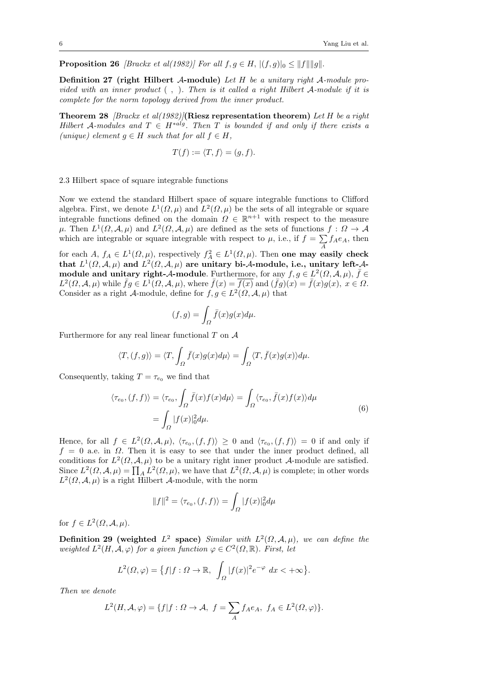**Proposition 26** *[Brackx et al(1982)] For all*  $f, g \in H$ ,  $|(f, g)|_0 \leq ||f|| ||g||$ .

**Definition 27 (right Hilbert** *A***-module)** *Let H be a unitary right A-module provided with an inner product* ( *,* )*. Then is it called a right Hilbert A-module if it is complete for the norm topology derived from the inner product.*

**Theorem 28** *[Brackx et al(1982)]***(Riesz representation theorem)** *Let H be a right Hilbert A*-modules and  $T \in H^{*alg}$ . Then *T* is bounded if and only if there exists a *(unique)* element  $g \in H$  *such that for all*  $f \in H$ *,* 

$$
T(f) := \langle T, f \rangle = (g, f).
$$

2.3 Hilbert space of square integrable functions

Now we extend the standard Hilbert space of square integrable functions to Clifford algebra. First, we denote  $L^1(\Omega,\mu)$  and  $L^2(\Omega,\mu)$  be the sets of all integrable or square integrable functions defined on the domain  $\Omega \in \mathbb{R}^{n+1}$  with respect to the measure  $\mu$ . Then  $L^1(\Omega, \mathcal{A}, \mu)$  and  $L^2(\Omega, \mathcal{A}, \mu)$  are defined as the sets of functions  $f : \Omega \to \mathcal{A}$ which are integrable or square integrable with respect to  $\mu$ , i.e., if  $f = \sum$  $\sum_{A} f_A e_A$ , then

for each *A*,  $f_A \in L^1(\Omega, \mu)$ , respectively  $f_A^2 \in L^1(\Omega, \mu)$ . Then one may easily check that  $L^1(\Omega, \mathcal{A}, \mu)$  and  $L^2(\Omega, \mathcal{A}, \mu)$  are unitary bi- $\mathcal{A}$ -module, i.e., unitary left- $\mathcal{A}$ **module and unitary right-***A***-module**. Furthermore, for any  $f, g \in L^2(\Omega, \mathcal{A}, \mu)$ ,  $\bar{f} \in$  $L^2(\Omega, \mathcal{A}, \mu)$  while  $\bar{f}g \in L^1(\Omega, \mathcal{A}, \mu)$ , where  $\bar{f}(x) = \overline{f(x)}$  and  $(\bar{f}g)(x) = \bar{f}(x)g(x), x \in \Omega$ . Consider as a right *A*-module, define for  $f, g \in L^2(\Omega, \mathcal{A}, \mu)$  that

$$
(f,g) = \int_{\Omega} \bar{f}(x)g(x)d\mu.
$$

Furthermore for any real linear functional *T* on *A*

$$
\langle T, (f, g) \rangle = \langle T, \int_{\Omega} \bar{f}(x)g(x) d\mu \rangle = \int_{\Omega} \langle T, \bar{f}(x)g(x) \rangle d\mu.
$$

Consequently, taking  $T = \tau_{e_0}$  we find that

$$
\langle \tau_{e_0}, (f, f) \rangle = \langle \tau_{e_0}, \int_{\Omega} \bar{f}(x) f(x) d\mu \rangle = \int_{\Omega} \langle \tau_{e_0}, \bar{f}(x) f(x) \rangle d\mu
$$

$$
= \int_{\Omega} |f(x)|_0^2 d\mu. \tag{6}
$$

Hence, for all  $f \in L^2(\Omega, \mathcal{A}, \mu)$ ,  $\langle \tau_{e_0}, (f, f) \rangle \geq 0$  and  $\langle \tau_{e_0}, (f, f) \rangle = 0$  if and only if *f* = 0 a.e. in *Ω*. Then it is easy to see that under the inner product defined, all conditions for  $L^2(\Omega, \mathcal{A}, \mu)$  to be a unitary right inner product *A*-module are satisfied. Since  $L^2(\Omega, \mathcal{A}, \mu) = \prod_A L^2(\Omega, \mu)$ , we have that  $L^2(\Omega, \mathcal{A}, \mu)$  is complete; in other words  $L^2(\Omega, \mathcal{A}, \mu)$  is a right Hilbert *A*-module, with the norm

$$
||f||^2 = \langle \tau_{e_0}, (f, f) \rangle = \int_{\Omega} |f(x)|_0^2 d\mu
$$

for  $f \in L^2(\Omega, \mathcal{A}, \mu)$ .

**Definition 29** (weighted  $L^2$  space) *Similar with*  $L^2(\Omega, \mathcal{A}, \mu)$ *, we can define the weighted*  $L^2(H, \mathcal{A}, \varphi)$  *for a given function*  $\varphi \in C^2(\Omega, \mathbb{R})$ *. First, let* 

$$
L^{2}(\Omega,\varphi) = \{f|f: \Omega \to \mathbb{R}, \int_{\Omega} |f(x)|^{2} e^{-\varphi} dx < +\infty\}.
$$

*Then we denote*

$$
L^{2}(H, \mathcal{A}, \varphi) = \{f | f: \Omega \to \mathcal{A}, f = \sum_{A} f_{A}e_{A}, f_{A} \in L^{2}(\Omega, \varphi)\}.
$$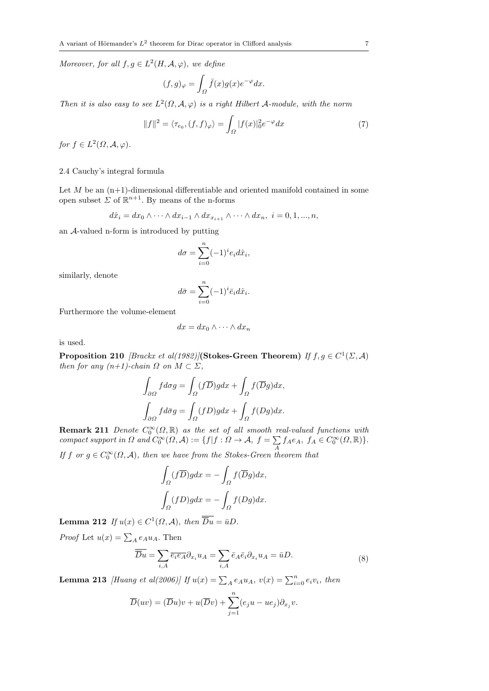*Moreover, for all*  $f, g \in L^2(H, \mathcal{A}, \varphi)$ *, we define* 

$$
(f,g)_{\varphi} = \int_{\Omega} \bar{f}(x)g(x)e^{-\varphi}dx.
$$

*Then it is also easy to see*  $L^2(\Omega, \mathcal{A}, \varphi)$  *is a right Hilbert*  $\mathcal{A}\text{-module}$ *, with the norm* 

$$
||f||^2 = \langle \tau_{e_0}, (f, f)_{\varphi} \rangle = \int_{\Omega} |f(x)|_0^2 e^{-\varphi} dx \tag{7}
$$

 $for f \in L^2(\Omega, \mathcal{A}, \varphi).$ 

## 2.4 Cauchy's integral formula

Let *M* be an  $(n+1)$ -dimensional differentiable and oriented manifold contained in some open subset  $\Sigma$  of  $\mathbb{R}^{n+1}$ . By means of the n-forms

$$
d\hat{x}_i = dx_0 \wedge \cdots \wedge dx_{i-1} \wedge dx_{i+1} \wedge \cdots \wedge dx_n, \quad i = 0, 1, ..., n,
$$

an *A*-valued n-form is introduced by putting

$$
d\sigma = \sum_{i=0}^{n} (-1)^{i} e_i d\hat{x}_i,
$$

similarly, denote

$$
d\bar{\sigma} = \sum_{i=0}^{n} (-1)^{i} \bar{e}_i d\hat{x}_i.
$$

Furthermore the volume-element

$$
dx = dx_0 \wedge \cdots \wedge dx_n
$$

is used.

**Proposition 210** *[Brackx et al(1982)]***(Stokes-Green Theorem)** *If*  $f, g \in C^1(\Sigma, \mathcal{A})$ *then for any*  $(n+1)$ -*chain*  $\Omega$  *on*  $M \subset \Sigma$ ,

$$
\begin{aligned} &\int_{\partial\Omega}fd\sigma g=\int_{\Omega}(f\overline{D})gdx+\int_{\Omega}f(\overline{D}g)dx,\\ &\int_{\partial\Omega}fd\bar{\sigma}g=\int_{\Omega}(fD)gdx+\int_{\Omega}f(Dg)dx. \end{aligned}
$$

**Remark 211** *Denote*  $C_0^{\infty}(\Omega,\mathbb{R})$  *as the set of all smooth real-valued functions with compact support in*  $\Omega$  *and*  $C_0^{\infty}(\Omega, \mathcal{A}) := \{f | f : \Omega \to \mathcal{A}, f = \sum$  $\sum_{A} f_A e_A, f_A \in C_0^{\infty}(\Omega, \mathbb{R})$ .

*If f or*  $g \in C_0^{\infty}(\Omega, \mathcal{A})$ *, then we have from the Stokes-Green theorem that* 

$$
\int_{\Omega} (f\overline{D})g dx = -\int_{\Omega} f(\overline{D}g) dx,
$$

$$
\int_{\Omega} (fD)g dx = -\int_{\Omega} f(Dg) dx.
$$

**Lemma 212** *If*  $u(x) \in C^1(\Omega, \mathcal{A})$ , then  $\overline{D}u = \overline{u}D$ .

*Proof* Let  $u(x) = \sum_{A} e_A u_A$ . Then

$$
\overline{\overline{D}u} = \sum_{i,A} \overline{e_i e_A} \partial_{x_i} u_A = \sum_{i,A} \overline{e}_A \overline{e}_i \partial_{x_i} u_A = \overline{u}D. \tag{8}
$$

**Lemma 213** *[Huang et al(2006)] If*  $u(x) = \sum_{A} e_A u_A$ ,  $v(x) = \sum_{i=0}^{n} e_i v_i$ , then

$$
\overline{D}(uv) = (\overline{D}u)v + u(\overline{D}v) + \sum_{j=1}^{n} (e_ju - ue_j)\partial_{x_j}v.
$$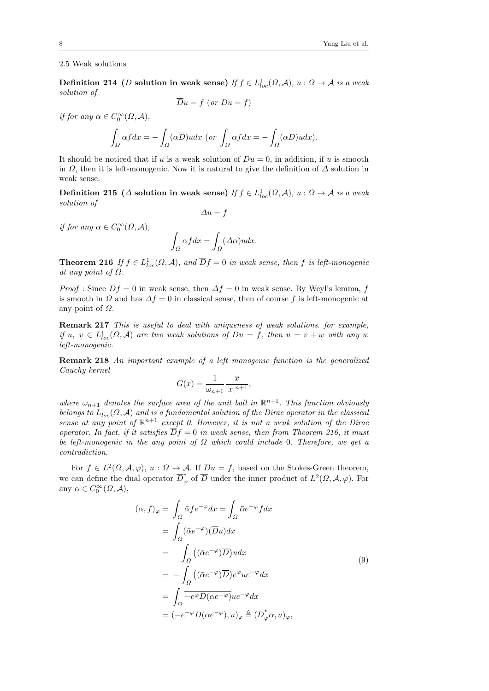#### 2.5 Weak solutions

**Definition 214**  $(\overline{D}$  **solution in weak sense)** *If*  $f \in L^1_{loc}(\Omega, \mathcal{A})$ ,  $u : \Omega \to \mathcal{A}$  *is a weak solution of*

$$
Du = f \ (or \ Du = f)
$$

*if for any*  $\alpha \in C_0^{\infty}(\Omega, \mathcal{A}),$ 

$$
\int_{\Omega} \alpha f dx = -\int_{\Omega} (\alpha \overline{D}) u dx \text{ (or } \int_{\Omega} \alpha f dx = -\int_{\Omega} (\alpha D) u dx).
$$

It should be noticed that if *u* is a weak solution of  $\overline{D}u = 0$ , in addition, if *u* is smooth in *Ω*, then it is left-monogenic. Now it is natural to give the definition of *∆* solution in weak sense.

**Definition 215**  $(A \text{ solution in weak sense})$  *If*  $f \in L^1_{loc}(\Omega, \mathcal{A}), u : \Omega \to \mathcal{A}$  *is a weak solution of*

$$
\Delta u = f
$$

*if for any*  $\alpha \in C_0^{\infty}(\Omega, \mathcal{A}),$ 

$$
\int_{\Omega} \alpha f dx = \int_{\Omega} (\Delta \alpha) u dx.
$$

**Theorem 216** *If*  $f \in L^1_{loc}(\Omega, \mathcal{A})$ , and  $\overline{D}f = 0$  *in weak sense, then f is left-monogenic at any point of*  $\Omega$ *.* 

*Proof* : Since  $\overline{D}f = 0$  in weak sense, then  $\Delta f = 0$  in weak sense. By Weyl's lemma, f is smooth in  $\Omega$  and has  $\Delta f = 0$  in classical sense, then of course f is left-monogenic at any point of *Ω*.

**Remark 217** *This is useful to deal with uniqueness of weak solutions. for example, if*  $u, v \in L^1_{loc}(\Omega, \mathcal{A})$  *are two weak solutions of*  $\overline{D}u = f$ *, then*  $u = v + w$  *with any w left-monogenic.*

**Remark 218** *An important example of a left monogenic function is the generalized Cauchy kernel*

$$
G(x) = \frac{1}{\omega_{n+1}} \frac{\overline{x}}{|x|^{n+1}},
$$

where  $\omega_{n+1}$  denotes the surface area of the unit ball in  $\mathbb{R}^{n+1}$ . This function obviously *belongs to*  $L^1_{loc}(\Omega, \mathcal{A})$  *and is a fundamental solution of the Dirac operator in the classical sense at any point of*  $\mathbb{R}^{n+1}$  *except 0. However, it is not a weak solution of the Dirac operator. In fact, if it satisfies*  $\overline{D}f = 0$  *in weak sense, then from Theorem 216, it must be left-monogenic in the any point of Ω which could include* 0*. Therefore, we get a contradiction.*

For  $f \in L^2(\Omega, \mathcal{A}, \varphi)$ ,  $u : \Omega \to \mathcal{A}$ . If  $\overline{D}u = f$ , based on the Stokes-Green theorem, we can define the dual operator  $\overline{D}_{\varphi}^*$  of  $\overline{D}$  under the inner product of  $L^2(\Omega, \mathcal{A}, \varphi)$ . For any  $\alpha \in C_0^{\infty}(\Omega, \mathcal{A}),$ 

$$
(\alpha, f)_{\varphi} = \int_{\Omega} \bar{\alpha} f e^{-\varphi} dx = \int_{\Omega} \bar{\alpha} e^{-\varphi} f dx
$$
  
\n
$$
= \int_{\Omega} (\bar{\alpha} e^{-\varphi})(\overline{D}u) dx
$$
  
\n
$$
= -\int_{\Omega} ((\bar{\alpha} e^{-\varphi}) \overline{D}) u dx
$$
  
\n
$$
= -\int_{\Omega} ((\bar{\alpha} e^{-\varphi}) \overline{D}) e^{\varphi} u e^{-\varphi} dx
$$
  
\n
$$
= \int_{\Omega} \overline{-e^{\varphi} D(\alpha e^{-\varphi})} u e^{-\varphi} dx
$$
  
\n
$$
= (-e^{-\varphi} D(\alpha e^{-\varphi}), u)_{\varphi} \triangleq (\overline{D}_{\varphi}^{*} \alpha, u)_{\varphi},
$$
  
\n(9)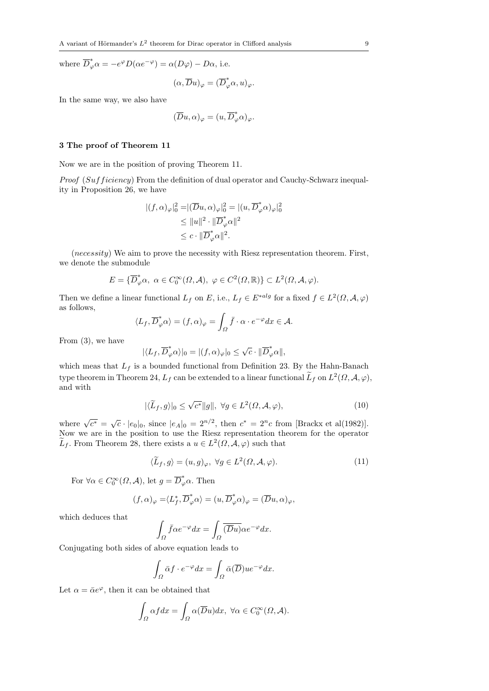where  $\overline{D}_{\varphi}^* \alpha = -e^{\varphi} D(\alpha e^{-\varphi}) = \alpha(D\varphi) - D\alpha$ , i.e.

$$
(\alpha,\overline{D}u)_{\varphi}=(\overline{D}^*_{\varphi}\alpha,u)_{\varphi}.
$$

In the same way, we also have

$$
(\overline{D}u,\alpha)_{\varphi}=(u,\overline{D}^*_{\varphi}\alpha)_{\varphi}.
$$

#### **3 The proof of Theorem 11**

Now we are in the position of proving Theorem 11.

*Proof* (*Suff iciency*) From the definition of dual operator and Cauchy-Schwarz inequality in Proposition 26, we have

$$
|(f, \alpha)_{\varphi}|_{0}^{2} = |(\overline{D}u, \alpha)_{\varphi}|_{0}^{2} = |(u, \overline{D}_{\varphi}^{*}\alpha)_{\varphi}|_{0}^{2}
$$
  
\n
$$
\leq ||u||^{2} \cdot ||\overline{D}_{\varphi}^{*}\alpha||^{2}
$$
  
\n
$$
\leq c \cdot ||\overline{D}_{\varphi}^{*}\alpha||^{2}.
$$

(*necessity*) We aim to prove the necessity with Riesz representation theorem. First, we denote the submodule

$$
E = \{\overline{D}_{\varphi}^* \alpha, \ \alpha \in C_0^{\infty}(\Omega, \mathcal{A}), \ \varphi \in C^2(\Omega, \mathbb{R})\} \subset L^2(\Omega, \mathcal{A}, \varphi).
$$

Then we define a linear functional  $L_f$  on  $E$ , i.e.,  $L_f \in E^{*alg}$  for a fixed  $f \in L^2(\Omega, \mathcal{A}, \varphi)$ as follows,

$$
\langle L_f, \overline{D}^*_\varphi \alpha \rangle = (f, \alpha)_\varphi = \int_{\Omega} \overline{f} \cdot \alpha \cdot e^{-\varphi} dx \in \mathcal{A}.
$$

From (3), we have

$$
|\langle L_f, \overline{D}_{\varphi}^* \alpha \rangle|_0 = |(f, \alpha)_{\varphi}|_0 \le \sqrt{c} \cdot ||\overline{D}_{\varphi}^* \alpha||,
$$

which meas that  $L_f$  is a bounded functional from Definition 23. By the Hahn-Banach type theorem in Theorem 24,  $L_f$  can be extended to a linear functional  $\tilde{L}_f$  on  $L^2(\Omega, \mathcal{A}, \varphi)$ , and with

$$
|\langle \widetilde{L}_f, g \rangle|_0 \le \sqrt{c^*} \|g\|, \ \forall g \in L^2(\Omega, \mathcal{A}, \varphi), \tag{10}
$$

where  $\sqrt{c^*} = \sqrt{c} \cdot |e_0|_0$ , since  $|e_A|_0 = 2^{n/2}$ , then  $c^* = 2^n c$  from [Brackx et al(1982)]. Now we are in the position to use the Riesz representation theorem for the operator  $\widetilde{L}_f$ . From Theorem 28, there exists a  $u \in L^2(\Omega, \mathcal{A}, \varphi)$  such that

$$
\langle \widetilde{L}_f, g \rangle = (u, g)_{\varphi}, \ \forall g \in L^2(\Omega, \mathcal{A}, \varphi). \tag{11}
$$

For  $\forall \alpha \in C_0^{\infty}(\Omega, \mathcal{A})$ , let  $g = \overline{D}_{\varphi}^* \alpha$ . Then

$$
(f, \alpha)_{\varphi} = \langle L_f^*, \overline{D}_{\varphi}^* \alpha \rangle = (u, \overline{D}_{\varphi}^* \alpha)_{\varphi} = (\overline{D}u, \alpha)_{\varphi},
$$

which deduces that

$$
\int_{\Omega} \bar{f} \alpha e^{-\varphi} dx = \int_{\Omega} \overline{(\overline{D}u)} \alpha e^{-\varphi} dx.
$$

Conjugating both sides of above equation leads to

$$
\int_{\Omega} \bar{\alpha} f \cdot e^{-\varphi} dx = \int_{\Omega} \bar{\alpha}(\overline{D}) u e^{-\varphi} dx.
$$

Let  $\alpha = \bar{\alpha}e^{\varphi}$ , then it can be obtained that

$$
\int_{\Omega} \alpha f dx = \int_{\Omega} \alpha(\overline{D}u) dx, \ \forall \alpha \in C_0^{\infty}(\Omega, \mathcal{A}).
$$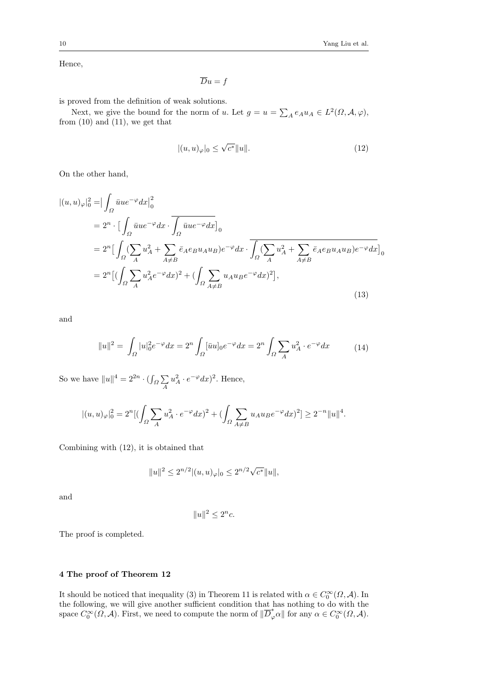Hence,

$$
\overline{D}u = f
$$

is proved from the definition of weak solutions.

Next, we give the bound for the norm of *u*. Let  $g = u = \sum_{A} e_A u_A \in L^2(\Omega, \mathcal{A}, \varphi)$ , from  $(10)$  and  $(11)$ , we get that

$$
|(u,u)_{\varphi}|_0 \le \sqrt{c^*} \|u\|. \tag{12}
$$

On the other hand,

$$
\begin{split}\n\left|(u,u)_{\varphi}\right|_{0}^{2} &= \left|\int_{\Omega} \bar{u}u e^{-\varphi} dx\right|_{0}^{2} \\
&= 2^{n} \cdot \left[\int_{\Omega} \bar{u}u e^{-\varphi} dx \cdot \overline{\int_{\Omega} \bar{u}u e^{-\varphi} dx}\right]_{0} \\
&= 2^{n} \left[\int_{\Omega} (\sum_{A} u_{A}^{2} + \sum_{A \neq B} \bar{e}_{A} e_{B} u_{A} u_{B}) e^{-\varphi} dx \cdot \overline{\int_{\Omega} (\sum_{A} u_{A}^{2} + \sum_{A \neq B} \bar{e}_{A} e_{B} u_{A} u_{B}) e^{-\varphi} dx}\right]_{0} \\
&= 2^{n} \left[\left(\int_{\Omega} \sum_{A} u_{A}^{2} e^{-\varphi} dx\right)^{2} + \left(\int_{\Omega} \sum_{A \neq B} u_{A} u_{B} e^{-\varphi} dx\right)^{2}\right],\n\end{split}
$$
\n(13)

and

$$
||u||^2 = \int_{\Omega} |u|_0^2 e^{-\varphi} dx = 2^n \int_{\Omega} [\bar{u}u]_0 e^{-\varphi} dx = 2^n \int_{\Omega} \sum_A u_A^2 \cdot e^{-\varphi} dx \tag{14}
$$

So we have  $||u||^4 = 2^{2n} \cdot (\int_{\Omega} \sum_i$ *A*  $u_A^2 \cdot e^{-\varphi} dx$ <sup>2</sup>. Hence,

$$
|(u,u)_\varphi|_0^2=2^n[(\int_{\varOmega} \sum_{A} u^2_A \cdot e^{-\varphi} dx)^2+(\int_{\varOmega} \sum_{A \neq B} u_A u_B e^{-\varphi} dx)^2] \geq 2^{-n} \|u\|^4.
$$

Combining with (12), it is obtained that

$$
||u||^2 \le 2^{n/2} |(u,u)_\varphi|_0 \le 2^{n/2} \sqrt{c^*} ||u||,
$$

and

$$
||u||^2 \le 2^n c.
$$

The proof is completed.

# **4 The proof of Theorem 12**

It should be noticed that inequality (3) in Theorem 11 is related with  $\alpha \in C_0^{\infty}(\Omega, \mathcal{A})$ . In the following, we will give another sufficient condition that has nothing to do with the space  $C_0^{\infty}(\Omega, \mathcal{A})$ . First, we need to compute the norm of  $\|\overline{D}_{\varphi}^*\alpha\|$  for any  $\alpha \in C_0^{\infty}(\Omega, \mathcal{A})$ .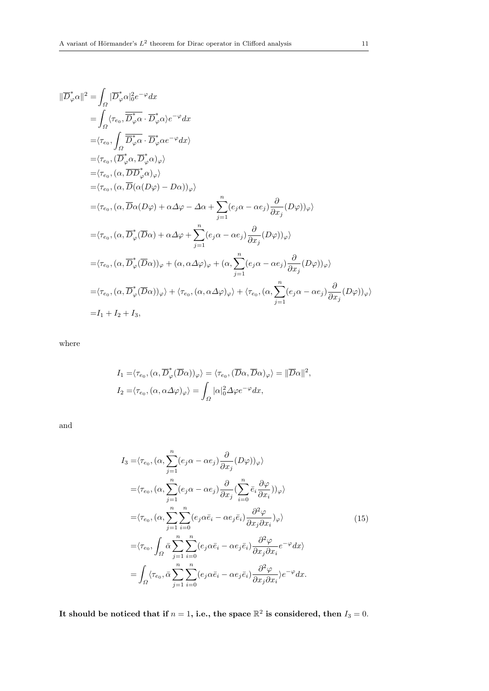$$
\|\overline{D}^*_{\varphi}\alpha\|^2 = \int_{\Omega} |\overline{D}^*_{\varphi}\alpha|^2_0 e^{-\varphi} dx
$$
  
\n
$$
= \int_{\Omega} \langle \tau_{e_0}, \overline{D}^*_{\varphi}\alpha \cdot \overline{D}^*_{\varphi}\alpha \rangle e^{-\varphi} dx
$$
  
\n
$$
= \langle \tau_{e_0}, \int_{\Omega} \overline{D}^*_{\varphi}\alpha \cdot \overline{D}^*_{\varphi}\alpha e^{-\varphi} dx \rangle
$$
  
\n
$$
= \langle \tau_{e_0}, (\overline{\alpha}, \overline{D}^*_{\varphi}\alpha, \overline{D}^*_{\varphi}\alpha) \varphi \rangle
$$
  
\n
$$
= \langle \tau_{e_0}, (\alpha, \overline{D}\alpha(\Omega\varphi) - D\alpha) \rangle_{\varphi} \rangle
$$
  
\n
$$
= \langle \tau_{e_0}, (\alpha, \overline{D}\alpha(D\varphi) + \alpha \Delta \varphi - \Delta \alpha + \sum_{j=1}^n (e_j \alpha - \alpha e_j) \frac{\partial}{\partial x_j}(D\varphi) \rangle_{\varphi} \rangle
$$
  
\n
$$
= \langle \tau_{e_0}, (\alpha, \overline{D}^*_{\varphi}(\overline{D}\alpha) + \alpha \Delta \varphi + \sum_{j=1}^n (e_j \alpha - \alpha e_j) \frac{\partial}{\partial x_j}(D\varphi) \rangle_{\varphi} \rangle
$$
  
\n
$$
= \langle \tau_{e_0}, (\alpha, \overline{D}^*_{\varphi}(\overline{D}\alpha))_{\varphi} + (\alpha, \alpha \Delta \varphi)_{\varphi} + (\alpha, \sum_{j=1}^n (e_j \alpha - \alpha e_j) \frac{\partial}{\partial x_j}(D\varphi) \rangle_{\varphi} \rangle
$$
  
\n
$$
= \langle \tau_{e_0}, (\alpha, \overline{D}^*_{\varphi}(\overline{D}\alpha))_{\varphi} \rangle + \langle \tau_{e_0}, (\alpha, \alpha \Delta \varphi)_{\varphi} \rangle + \langle \tau_{e_0}, (\alpha, \sum_{j=1}^n (e_j \alpha - \alpha e_j) \frac{\partial}{\partial x_j}(D\varphi) \rangle_{\varphi} \rangle
$$
  
\n
$$
=
$$

where

$$
I_1 = \langle \tau_{e_0}, (\alpha, \overline{D}_{\varphi}^*(\overline{D}\alpha))_{\varphi} \rangle = \langle \tau_{e_0}, (\overline{D}\alpha, \overline{D}\alpha)_{\varphi} \rangle = ||\overline{D}\alpha||^2,
$$
  

$$
I_2 = \langle \tau_{e_0}, (\alpha, \alpha \Delta \varphi)_{\varphi} \rangle = \int_{\Omega} |\alpha|_0^2 \Delta \varphi e^{-\varphi} dx,
$$

and

$$
I_{3} = \langle \tau_{e_{0}}, (\alpha, \sum_{j=1}^{n} (e_{j}\alpha - \alpha e_{j}) \frac{\partial}{\partial x_{j}} (D\varphi))_{\varphi} \rangle
$$
  
\n
$$
= \langle \tau_{e_{0}}, (\alpha, \sum_{j=1}^{n} (e_{j}\alpha - \alpha e_{j}) \frac{\partial}{\partial x_{j}} (\sum_{i=0}^{n} \bar{e}_{i} \frac{\partial \varphi}{\partial x_{i}}))_{\varphi} \rangle
$$
  
\n
$$
= \langle \tau_{e_{0}}, (\alpha, \sum_{j=1}^{n} \sum_{i=0}^{n} (e_{j}\alpha \bar{e}_{i} - \alpha e_{j} \bar{e}_{i}) \frac{\partial^{2} \varphi}{\partial x_{j} \partial x_{i}})_{\varphi} \rangle
$$
  
\n
$$
= \langle \tau_{e_{0}}, \int_{\Omega} \bar{\alpha} \sum_{j=1}^{n} \sum_{i=0}^{n} (e_{j}\alpha \bar{e}_{i} - \alpha e_{j} \bar{e}_{i}) \frac{\partial^{2} \varphi}{\partial x_{j} \partial x_{i}} e^{-\varphi} dx \rangle
$$
  
\n
$$
= \int_{\Omega} \langle \tau_{e_{0}}, \bar{\alpha} \sum_{j=1}^{n} \sum_{i=0}^{n} (e_{j}\alpha \bar{e}_{i} - \alpha e_{j} \bar{e}_{i}) \frac{\partial^{2} \varphi}{\partial x_{j} \partial x_{i}} \rangle e^{-\varphi} dx.
$$
 (15)

It should be noticed that if  $n = 1$ , i.e., the space  $\mathbb{R}^2$  is considered, then  $I_3 = 0$ .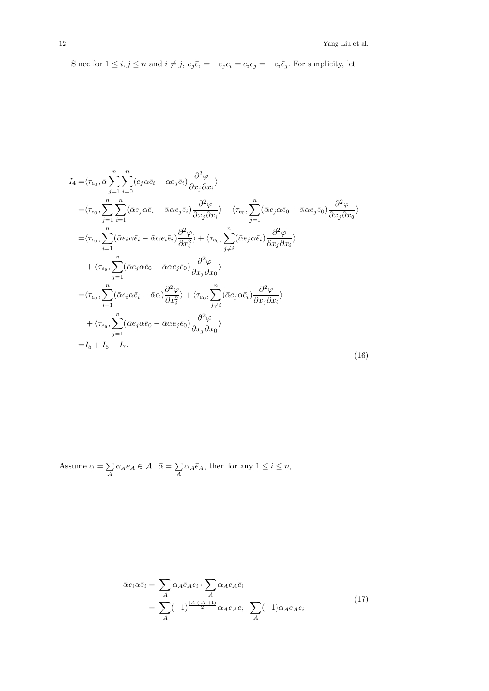Since for  $1 \le i, j \le n$  and  $i \ne j$ ,  $e_j \overline{e}_i = -e_j e_i = e_i e_j = -e_i \overline{e}_j$ . For simplicity, let

$$
I_{4} = \langle \tau_{e_{0}}, \bar{\alpha} \sum_{j=1}^{n} \sum_{i=0}^{n} (e_{j} \alpha \bar{e}_{i} - \alpha e_{j} \bar{e}_{i}) \frac{\partial^{2} \varphi}{\partial x_{j} \partial x_{i}} \rangle
$$
  
\n
$$
= \langle \tau_{e_{0}}, \sum_{j=1}^{n} \sum_{i=1}^{n} (\bar{\alpha} e_{j} \alpha \bar{e}_{i} - \bar{\alpha} \alpha e_{j} \bar{e}_{i}) \frac{\partial^{2} \varphi}{\partial x_{j} \partial x_{i}} \rangle + \langle \tau_{e_{0}}, \sum_{j=1}^{n} (\bar{\alpha} e_{j} \alpha \bar{e}_{0} - \bar{\alpha} \alpha e_{j} \bar{e}_{0}) \frac{\partial^{2} \varphi}{\partial x_{j} \partial x_{0}} \rangle
$$
  
\n
$$
= \langle \tau_{e_{0}}, \sum_{i=1}^{n} (\bar{\alpha} e_{i} \alpha \bar{e}_{i} - \bar{\alpha} \alpha e_{i} \bar{e}_{i}) \frac{\partial^{2} \varphi}{\partial x_{i}^{2}} \rangle + \langle \tau_{e_{0}}, \sum_{j\neq i}^{n} (\bar{\alpha} e_{j} \alpha \bar{e}_{i}) \frac{\partial^{2} \varphi}{\partial x_{j} \partial x_{i}} \rangle
$$
  
\n
$$
+ \langle \tau_{e_{0}}, \sum_{j=1}^{n} (\bar{\alpha} e_{j} \alpha \bar{e}_{0} - \bar{\alpha} \alpha e_{j} \bar{e}_{0}) \frac{\partial^{2} \varphi}{\partial x_{j} \partial x_{0}} \rangle
$$
  
\n
$$
= \langle \tau_{e_{0}}, \sum_{i=1}^{n} (\bar{\alpha} e_{i} \alpha \bar{e}_{i} - \bar{\alpha} \alpha) \frac{\partial^{2} \varphi}{\partial x_{i}^{2}} \rangle + \langle \tau_{e_{0}}, \sum_{j\neq i}^{n} (\bar{\alpha} e_{j} \alpha \bar{e}_{i}) \frac{\partial^{2} \varphi}{\partial x_{j} \partial x_{i}} \rangle
$$
  
\n
$$
+ \langle \tau_{e_{0}}, \sum_{j=1}^{n} (\bar{\alpha} e_{j} \alpha \bar{e}_{0} - \bar{\alpha} \alpha e_{j} \bar{e}_{0}) \frac{\partial^{2} \varphi}{\partial x_{j
$$

Assume 
$$
\alpha = \sum_{A} \alpha_A e_A \in \mathcal{A}, \ \bar{\alpha} = \sum_{A} \alpha_A \bar{e}_A
$$
, then for any  $1 \leq i \leq n$ ,

$$
\bar{\alpha}e_i \alpha \bar{e}_i = \sum_A \alpha_A \bar{e}_A e_i \cdot \sum_A \alpha_A e_A \bar{e}_i
$$
\n
$$
= \sum_A (-1)^{\frac{|A|(|A|+1)}{2}} \alpha_A e_A e_i \cdot \sum_A (-1) \alpha_A e_A e_i \tag{17}
$$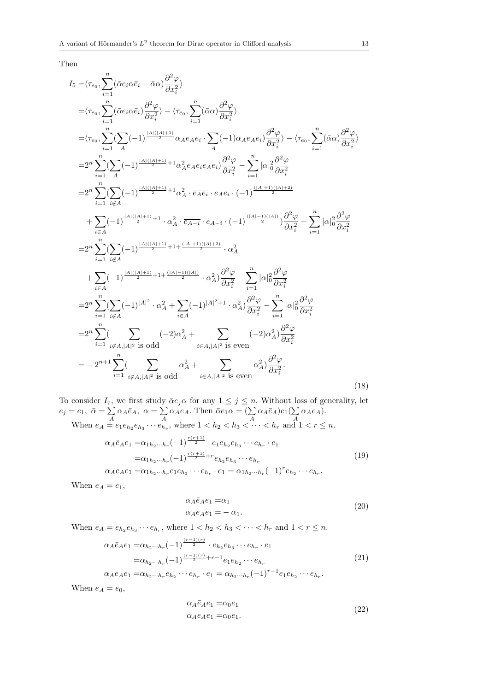Then

$$
I_{5} = \langle \tau_{e_{0}}, \sum_{i=1}^{n} (\bar{\alpha}e_{i}\alpha\bar{e}_{i} - \bar{\alpha}\alpha) \frac{\partial^{2}\varphi}{\partial x_{i}^{2}} \rangle
$$
  
\n
$$
= \langle \tau_{e_{0}}, \sum_{i=1}^{n} (\bar{\alpha}e_{i}\alpha\bar{e}_{i}) \frac{\partial^{2}\varphi}{\partial x_{i}^{2}} \rangle - \langle \tau_{e_{0}}, \sum_{i=1}^{n} (\bar{\alpha}\alpha) \frac{\partial^{2}\varphi}{\partial x_{i}^{2}} \rangle
$$
  
\n
$$
= \langle \tau_{e_{0}}, \sum_{i=1}^{n} (\sum_{A} (-1)^{\frac{|A|(|A|+1)}{2}} \alpha_{A}e_{A}e_{i} \cdot \sum_{A} (-1) \alpha_{A}e_{A}e_{i}) \frac{\partial^{2}\varphi}{\partial x_{i}^{2}} \rangle - \langle \tau_{e_{0}}, \sum_{i=1}^{n} (\bar{\alpha}\alpha) \frac{\partial^{2}\varphi}{\partial x_{i}^{2}} \rangle
$$
  
\n
$$
= 2^{n} \sum_{i=1}^{n} (\sum_{A} (-1)^{\frac{|A|(|A|+1)}{2}} + 1 \alpha_{A}^{2} e_{A}e_{i}e_{A}e_{i}) \frac{\partial^{2}\varphi}{\partial x_{i}^{2}} - \sum_{i=1}^{n} |\alpha|_{0}^{2} \frac{\partial^{2}\varphi}{\partial x_{i}^{2}}
$$
  
\n
$$
= 2^{n} \sum_{i=1}^{n} (\sum_{i \notin A} (-1)^{\frac{|A|(|A|+1)}{2}} + 1 \cdot \alpha_{A}^{2} \cdot \overline{e_{A}e_{i}} \cdot e_{A}e_{i} \cdot (-1)^{\frac{|(A|+1)(|A|+2)}{2}} \frac{\partial^{2}\varphi}{\partial x_{i}^{2}} - \sum_{i=1}^{n} |\alpha|_{0}^{2} \frac{\partial^{2}\varphi}{\partial x_{i}^{2}}
$$
  
\n
$$
= 2^{n} \sum_{i=1}^{n} (\sum_{i \notin A} (-1)^{\frac{|A|(|A|+1)}{2}} + 1 + \frac{(|A|+1)(|A|+2)}{2} \cdot \alpha_{A}^{2}
$$
  
\n
$$
+ \sum_{i \in A} (-1)^
$$

To consider  $I_7$ , we first study  $\bar{\alpha}e_j\alpha$  for any  $1 \leq j \leq n$ . Without loss of generality, let  $e_j = e_1, \ \bar{\alpha} = \sum$  $\sum_{A} \alpha_{A} \bar{e}_{A}, \ \alpha = \sum_{A}$  $\sum_{A} \alpha_{A} e_{A}$ . Then  $\bar{\alpha} e_{1} \alpha = (\sum_{A} \alpha_{A} \bar{e}_{A}) e_{1} (\sum_{A} \alpha_{A} e_{A})$  $\sum_{A} \alpha_A e_A$ ).

When 
$$
e_A = e_1 e_{h_2} e_{h_3} \cdots e_{h_r}
$$
, where  $1 < h_2 < h_3 < \cdots < h_r$  and  $1 < r \le n$ .  
\n
$$
\alpha_A \bar{e}_A e_1 = \alpha_{1h_2 \cdots h_r} (-1)^{\frac{r(r+1)}{2}} \cdot e_1 e_{h_2} e_{h_3} \cdots e_{h_r} \cdot e_1
$$
\n
$$
= \alpha_{1h_2 \cdots h_r} (-1)^{\frac{r(r+1)}{2}} + r e_{h_2} e_{h_3} \cdots e_{h_r}
$$
\n
$$
\alpha_A e_A e_1 = \alpha_{1h_2 \cdots h_r} e_1 e_{h_2} \cdots e_{h_r} \cdot e_1 = \alpha_{1h_2 \cdots h_r} (-1)^r e_{h_2} \cdots e_{h_r}.
$$
\n(19)

When  $e_A = e_1$ ,

$$
\alpha_A \bar{e}_A e_1 = \alpha_1 \n\alpha_A e_A e_1 = - \alpha_1.
$$
\n(20)

When  $e_A = e_{h_2} e_{h_3} \cdots e_{h_r}$ , where  $1 < h_2 < h_3 < \cdots < h_r$  and  $1 < r \le n$ .

$$
\alpha_{A}\bar{e}_{A}e_{1} = \alpha_{h_{2}\cdots h_{r}}(-1)^{\frac{(r-1)(r)}{2}} \cdot e_{h_{2}}e_{h_{3}}\cdots e_{h_{r}} \cdot e_{1}
$$
\n
$$
= \alpha_{h_{2}\cdots h_{r}}(-1)^{\frac{(r-1)(r)}{2}+r-1}e_{1}e_{h_{2}}\cdots e_{h_{r}}
$$
\n
$$
\alpha_{A}e_{A}e_{1} = \alpha_{h_{2}\cdots h_{r}}e_{h_{2}}\cdots e_{h_{r}} \cdot e_{1} = \alpha_{h_{2}\cdots h_{r}}(-1)^{r-1}e_{1}e_{h_{2}}\cdots e_{h_{r}}.
$$
\n(21)

$$
\alpha_A e_A e_1 = \alpha_{h_2 \cdots h_r} e_{h_2} \cdots e_{h_r} \cdot e_1 = \alpha_{h_2 \cdots h_r} (-1)^{r-1} e_1 e_{h_2} \cdots e_{h_r}
$$

When  $e_A = e_0$ ,

$$
\alpha_A \bar{e}_A e_1 = \alpha_0 e_1 \n\alpha_A e_A e_1 = \alpha_0 e_1.
$$
\n(22)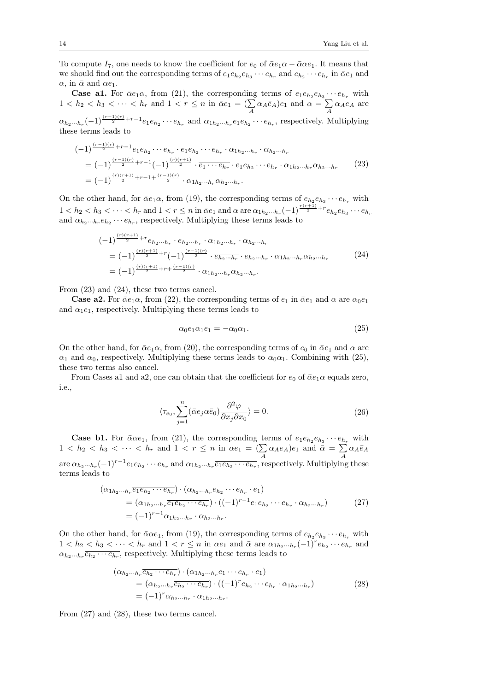To compute  $I_7$ , one needs to know the coefficient for  $e_0$  of  $\bar{\alpha}e_1\alpha - \bar{\alpha}\alpha e_1$ . It means that we should find out the corresponding terms of  $e_1e_{h_2}e_{h_3}\cdots e_{h_r}$  and  $e_{h_2}\cdots e_{h_r}$  in  $\bar{\alpha}e_1$  and  $\alpha$ , in  $\bar{\alpha}$  and  $\alpha e_1$ .

**Case a1.** For  $\bar{\alpha}e_1\alpha$ , from (21), the corresponding terms of  $e_1e_{h_2}e_{h_3}\cdots e_{h_r}$  with  $1 < h_2 < h_3 < \cdots < h_r$  and  $1 < r \le n$  in  $\bar{\alpha}e_1 = (\sum_A \alpha_A \bar{e}_A)e_1$  and  $\alpha = \sum_A$  $\sum_{A} \alpha_{A} e_{A}$  are  $\alpha_{h_2\cdots h_r}(-1)^{\frac{(r-1)(r)}{2}+r-1}e_1e_{h_2}\cdots e_{h_r}$  and  $\alpha_{1h_2\cdots h_r}e_1e_{h_2}\cdots e_{h_r}$ , respectively. Multiplying these terms leads to

$$
\begin{split}\n &(-1)^{\frac{(r-1)(r)}{2}+r-1}e_{1}e_{h_{2}}\cdots e_{h_{r}}\cdot e_{1}e_{h_{2}}\cdots e_{h_{r}}\cdot \alpha_{1h_{2}\cdots h_{r}}\cdot \alpha_{h_{2}\cdots h_{r}} \\
 &= (-1)^{\frac{(r-1)(r)}{2}+r-1}(-1)^{\frac{(r)(r+1)}{2}}\cdot \overline{e_{1}\cdots e_{h_{r}}}\cdot e_{1}e_{h_{2}}\cdots e_{h_{r}}\cdot \alpha_{1h_{2}\cdots h_{r}}\alpha_{h_{2}\cdots h_{r}}\n \end{split}\n \tag{23}
$$
\n
$$
= (-1)^{\frac{(r)(r+1)}{2}+r-1+\frac{(r-1)(r)}{2}}\cdot \alpha_{1h_{2}\cdots h_{r}}\alpha_{h_{2}\cdots h_{r}}.
$$

On the other hand, for  $\bar{\alpha}e_1\alpha$ , from (19), the corresponding terms of  $e_{h_2}e_{h_3}\cdots e_{h_r}$  with  $1 < h_2 < h_3 < \cdots < h_r$  and  $1 < r \le n$  in  $\bar{\alpha}e_1$  and  $\alpha$  are  $\alpha_{1h_2\cdots h_r}(-1)^{\frac{r(r+1)}{2}+r}e_{h_2}e_{h_3}\cdots e_{h_r}$ and  $\alpha_{h_2\cdots h_r}e_{h_2}\cdots e_{h_r}$ , respectively. Multiplying these terms leads to

$$
\begin{aligned}\n &(-1)^{\frac{(r)(r+1)}{2}+r}e_{h_2\cdots h_r} \cdot e_{h_2\cdots h_r} \cdot \alpha_{1h_2\cdots h_r} \cdot \alpha_{h_2\cdots h_r} \\
 &= (-1)^{\frac{(r)(r+1)}{2}+r}(-1)^{\frac{(r-1)(r)}{2}} \cdot \overline{e_{h_2\cdots h_r}} \cdot e_{h_2\cdots h_r} \cdot \alpha_{1h_2\cdots h_r} \alpha_{h_2\cdots h_r} \\
 &= (-1)^{\frac{(r)(r+1)}{2}+r+\frac{(r-1)(r)}{2}} \cdot \alpha_{1h_2\cdots h_r} \alpha_{h_2\cdots h_r}.\n \end{aligned}\n \tag{24}
$$

From (23) and (24), these two terms cancel.

**Case a2.** For  $\bar{\alpha}e_1\alpha$ , from (22), the corresponding terms of  $e_1$  in  $\bar{\alpha}e_1$  and  $\alpha$  are  $\alpha_0e_1$ and  $\alpha_1e_1$ , respectively. Multiplying these terms leads to

$$
\alpha_0 e_1 \alpha_1 e_1 = -\alpha_0 \alpha_1. \tag{25}
$$

On the other hand, for  $\bar{\alpha}e_1\alpha$ , from (20), the corresponding terms of  $e_0$  in  $\bar{\alpha}e_1$  and  $\alpha$  are *α*<sub>1</sub> and *α*<sub>0</sub>, respectively. Multiplying these terms leads to  $\alpha_0 \alpha_1$ . Combining with (25), these two terms also cancel.

From Cases a1 and a2, one can obtain that the coefficient for  $e_0$  of  $\bar{\alpha}e_1\alpha$  equals zero, i.e.,

$$
\langle \tau_{e_0}, \sum_{j=1}^n (\bar{\alpha} e_j \alpha \bar{e}_0) \frac{\partial^2 \varphi}{\partial x_j \partial x_0} \rangle = 0.
$$
 (26)

**Case b1.** For  $\bar{\alpha} \alpha e_1$ , from (21), the corresponding terms of  $e_1 e_{h_2} e_{h_3} \cdots e_{h_r}$  with  $1 < h_2 < h_3 < \cdots < h_r$  and  $1 < r \le n$  in  $\alpha e_1 = (\sum_{A} \alpha_A e_A)e_1$  and  $\bar{\alpha} = \sum_{A}$  $\sum_{A} \alpha_{A} \bar{e}_{A}$ are  $\alpha_{h_2\cdots h_r}(-1)^{r-1}e_1e_{h_2}\cdots e_{h_r}$  and  $\alpha_{1h_2\cdots h_r}\overline{e_1e_{h_2}\cdots e_{h_r}}$ , respectively. Multiplying these terms leads to

$$
\begin{aligned} \left(\alpha_{1h_2\cdots h_r}\overline{e_1e_{h_2}\cdots e_{h_r}}\right) \cdot \left(\alpha_{h_2\cdots h_r}e_{h_2}\cdots e_{h_r}\cdot e_1\right) \\ &= \left(\alpha_{1h_2\cdots h_r}\overline{e_1e_{h_2}\cdots e_{h_r}}\right) \cdot \left((-1)^{r-1}e_1e_{h_2}\cdots e_{h_r}\cdot \alpha_{h_2\cdots h_r}\right) \\ &= (-1)^{r-1}\alpha_{1h_2\cdots h_r}\cdot \alpha_{h_2\cdots h_r} .\end{aligned} \tag{27}
$$

On the other hand, for  $\bar{\alpha} \alpha e_1$ , from (19), the corresponding terms of  $e_{h_2} e_{h_3} \cdots e_{h_r}$  with  $1 < h_2 < h_3 < \cdots < h_r$  and  $1 < r \le n$  in  $\alpha e_1$  and  $\bar{\alpha}$  are  $\alpha_{1h_2\cdots h_r}(-1)^r e_{h_2}\cdots e_{h_r}$  and  $\alpha_{h_2\cdots h_r}$   $\overline{e_{h_2}\cdots e_{h_r}}$ , respectively. Multiplying these terms leads to

$$
\begin{aligned} \left(\alpha_{h_2\cdots h_r}\overline{e_{h_2}\cdots e_{h_r}}\right) \cdot \left(\alpha_{1h_2\cdots h_r}e_1\cdots e_{h_r}\cdot e_1\right) \\ &= \left(\alpha_{h_2\cdots h_r}\overline{e_{h_2}\cdots e_{h_r}}\right) \cdot \left((-1)^r e_{h_2}\cdots e_{h_r}\cdot \alpha_{1h_2\cdots h_r}\right) \\ &= (-1)^r \alpha_{h_2\cdots h_r}\cdot \alpha_{1h_2\cdots h_r} .\end{aligned} \tag{28}
$$

From (27) and (28), these two terms cancel.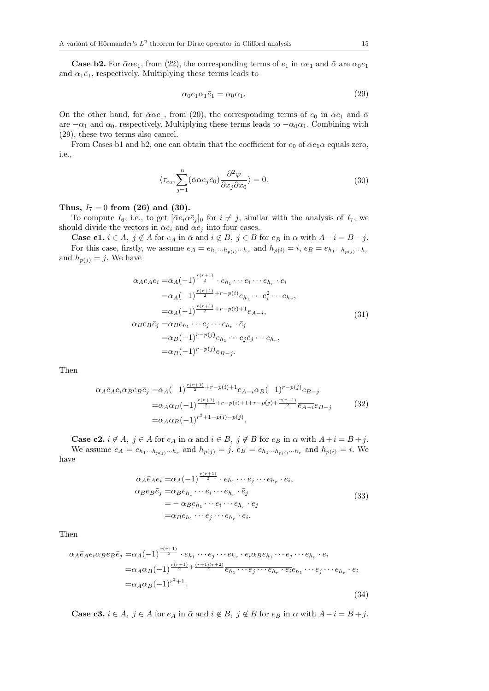**Case b2.** For  $\bar{\alpha} \alpha e_1$ , from (22), the corresponding terms of  $e_1$  in  $\alpha e_1$  and  $\bar{\alpha}$  are  $\alpha_0 e_1$ and  $\alpha_1 \bar{e}_1$ , respectively. Multiplying these terms leads to

$$
\alpha_0 e_1 \alpha_1 \bar{e}_1 = \alpha_0 \alpha_1. \tag{29}
$$

On the other hand, for  $\bar{\alpha} \alpha e_1$ , from (20), the corresponding terms of  $e_0$  in  $\alpha e_1$  and  $\bar{\alpha}$ are  $-\alpha_1$  and  $\alpha_0$ , respectively. Multiplying these terms leads to  $-\alpha_0\alpha_1$ . Combining with (29), these two terms also cancel.

From Cases b1 and b2, one can obtain that the coefficient for  $e_0$  of  $\bar{\alpha}e_1\alpha$  equals zero, i.e.,

$$
\langle \tau_{e_0}, \sum_{j=1}^n (\bar{\alpha} \alpha e_j \bar{e}_0) \frac{\partial^2 \varphi}{\partial x_j \partial x_0} \rangle = 0.
$$
 (30)

## Thus,  $I_7 = 0$  from (26) and (30).

To compute  $I_6$ , i.e., to get  $[\bar{\alpha}e_i\alpha\bar{e}_j]_0$  for  $i \neq j$ , similar with the analysis of  $I_7$ , we should divide the vectors in  $\bar{\alpha}e_i$  and  $\alpha\bar{e}_j$  into four cases.

**Case c1.**  $i \in A$ ,  $j \notin A$  for  $e_A$  in  $\bar{\alpha}$  and  $i \notin B$ ,  $j \in B$  for  $e_B$  in  $\alpha$  with  $A - i = B - j$ . For this case, firstly, we assume  $e_A = e_{h_1 \cdots h_{p(i)}} \cdots_{h_r}$  and  $h_{p(i)} = i$ ,  $e_B = e_{h_1 \cdots h_{p(j)}} \cdots_{h_r}$ and  $h_{p(j)} = j$ . We have

$$
\alpha_{A}\bar{e}_{A}e_{i} = \alpha_{A}(-1)^{\frac{r(r+1)}{2}} \cdot e_{h_{1}} \cdots e_{i} \cdots e_{h_{r}} \cdot e_{i}
$$
  
\n
$$
= \alpha_{A}(-1)^{\frac{r(r+1)}{2}+r-p(i)} e_{h_{1}} \cdots e_{i}^{2} \cdots e_{h_{r}},
$$
  
\n
$$
= \alpha_{A}(-1)^{\frac{r(r+1)}{2}+r-p(i)+1} e_{A-i},
$$
  
\n
$$
\alpha_{B}e_{B}\bar{e}_{j} = \alpha_{B}e_{h_{1}} \cdots e_{j} \cdots e_{h_{r}} \cdot \bar{e}_{j}
$$
  
\n
$$
= \alpha_{B}(-1)^{r-p(j)} e_{h_{1}} \cdots e_{j}\bar{e}_{j} \cdots e_{h_{r}},
$$
  
\n
$$
= \alpha_{B}(-1)^{r-p(j)} e_{B-j}.
$$
  
\n(31)

Then

$$
\alpha_{A}\bar{e}_{A}e_{i}\alpha_{B}e_{B}\bar{e}_{j} = \alpha_{A}(-1)^{\frac{r(r+1)}{2}+r-p(i)+1}e_{A-i}\alpha_{B}(-1)^{r-p(j)}e_{B-j}
$$
  
\n
$$
= \alpha_{A}\alpha_{B}(-1)^{\frac{r(r+1)}{2}+r-p(i)+1+r-p(j)+\frac{r(r-1)}{2}}\overline{e_{A-i}}e_{B-j}
$$
(32)  
\n
$$
= \alpha_{A}\alpha_{B}(-1)^{r^{2}+1-p(i)-p(j)}.
$$

**Case c2.**  $i \notin A$ ,  $j \in A$  for  $e_A$  in  $\bar{\alpha}$  and  $i \in B$ ,  $j \notin B$  for  $e_B$  in  $\alpha$  with  $A + i = B + j$ . We assume  $e_A = e_{h_1 \cdots h_{p(j)}} \cdots_{h_r}$  and  $h_{p(j)} = j$ ,  $e_B = e_{h_1 \cdots h_{p(i)}} \cdots_{h_r}$  and  $h_{p(i)} = i$ . We have

$$
\alpha_A \bar{e}_A e_i = \alpha_A (-1)^{\frac{r(r+1)}{2}} \cdot e_{h_1} \cdots e_j \cdots e_{h_r} \cdot e_i,
$$
  
\n
$$
\alpha_B e_B \bar{e}_j = \alpha_B e_{h_1} \cdots e_i \cdots e_{h_r} \cdot \bar{e}_j
$$
  
\n
$$
= -\alpha_B e_{h_1} \cdots e_i \cdots e_{h_r} \cdot e_j
$$
  
\n
$$
= \alpha_B e_{h_1} \cdots e_j \cdots e_{h_r} \cdot e_i.
$$
\n(33)

Then

$$
\alpha_A \bar{e}_A e_i \alpha_B e_B \bar{e}_j = \alpha_A (-1)^{\frac{r(r+1)}{2}} \cdot e_{h_1} \cdots e_j \cdots e_{h_r} \cdot e_i \alpha_B e_{h_1} \cdots e_j \cdots e_{h_r} \cdot e_i
$$
  
\n
$$
= \alpha_A \alpha_B (-1)^{\frac{r(r+1)}{2} + \frac{(r+1)(r+2)}{2}} \bar{e}_{h_1} \cdots \bar{e}_j \cdots \bar{e}_{h_r} \cdot \bar{e}_i e_{h_1} \cdots e_j \cdots e_{h_r} \cdot e_i
$$
  
\n
$$
= \alpha_A \alpha_B (-1)^{r^2 + 1}.
$$
\n(34)

**Case c3.**  $i \in A$ ,  $j \in A$  for  $e_A$  in  $\bar{\alpha}$  and  $i \notin B$ ,  $j \notin B$  for  $e_B$  in  $\alpha$  with  $A - i = B + j$ .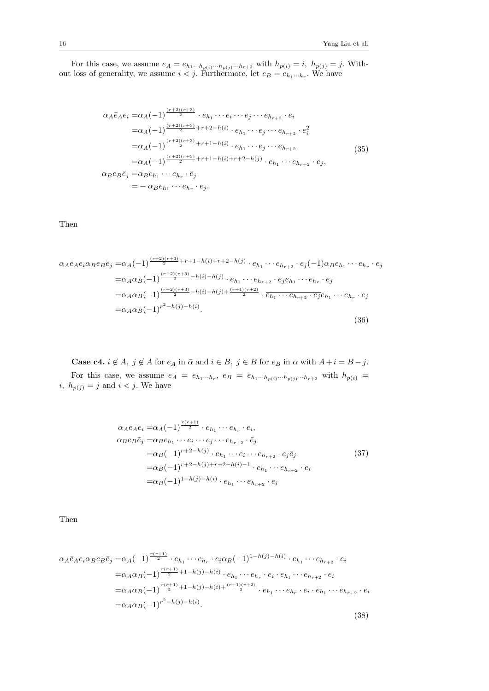For this case, we assume  $e_A = e_{h_1 \cdots h_{p(i)}} \cdots_{h_{p(j)}} \cdots h_{r+2}$  with  $h_{p(i)} = i$ ,  $h_{p(j)} = j$ . Without loss of generality, we assume  $i < j$ . Furthermore, let  $e_B = e_{h_1 \cdots h_r}$ . We have

$$
\alpha_{A}\bar{e}_{A}e_{i} = \alpha_{A}(-1)^{\frac{(r+2)(r+3)}{2}} \cdot e_{h_{1}} \cdots e_{i} \cdots e_{j} \cdots e_{h_{r+2}} \cdot e_{i}
$$
\n
$$
= \alpha_{A}(-1)^{\frac{(r+2)(r+3)}{2}+r+2-h(i)} \cdot e_{h_{1}} \cdots e_{j} \cdots e_{h_{r+2}} \cdot e_{i}^{2}
$$
\n
$$
= \alpha_{A}(-1)^{\frac{(r+2)(r+3)}{2}+r+1-h(i)} \cdot e_{h_{1}} \cdots e_{j} \cdots e_{h_{r+2}}
$$
\n
$$
= \alpha_{A}(-1)^{\frac{(r+2)(r+3)}{2}+r+1-h(i)+r+2-h(j)} \cdot e_{h_{1}} \cdots e_{h_{r+2}} \cdot e_{j},
$$
\n
$$
\alpha_{B}e_{B}\bar{e}_{j} = \alpha_{B}e_{h_{1}} \cdots e_{h_{r}} \cdot \bar{e}_{j}
$$
\n
$$
= -\alpha_{B}e_{h_{1}} \cdots e_{h_{r}} \cdot e_{j}.
$$
\n(35)

Then

$$
\alpha_{A}\bar{e}_{A}e_{i}\alpha_{B}e_{B}\bar{e}_{j} = \alpha_{A}(-1)^{\frac{(r+2)(r+3)}{2}+r+1-h(i)+r+2-h(j)} \cdot e_{h_{1}}\cdots e_{h_{r+2}}\cdot e_{j}(-1)\alpha_{B}e_{h_{1}}\cdots e_{h_{r}}\cdot e_{j}
$$
  
\n
$$
= \alpha_{A}\alpha_{B}(-1)^{\frac{(r+2)(r+3)}{2}-h(i)-h(j)} \cdot e_{h_{1}}\cdots e_{h_{r+2}}\cdot e_{j}e_{h_{1}}\cdots e_{h_{r}}\cdot e_{j}
$$
  
\n
$$
= \alpha_{A}\alpha_{B}(-1)^{\frac{(r+2)(r+3)}{2}-h(i)-h(j)+\frac{(r+1)(r+2)}{2}}\cdot \overline{e_{h_{1}}\cdots e_{h_{r+2}}\cdot e_{j}}e_{h_{1}}\cdots e_{h_{r}}\cdot e_{j}
$$
  
\n
$$
= \alpha_{A}\alpha_{B}(-1)^{r^{2}-h(j)-h(i)}.
$$
\n(36)

**Case c4.**  $i \notin A$ ,  $j \notin A$  for  $e_A$  in  $\bar{\alpha}$  and  $i \in B$ ,  $j \in B$  for  $e_B$  in  $\alpha$  with  $A + i = B - j$ . For this case, we assume  $e_A = e_{h_1 \cdots h_r}$ ,  $e_B = e_{h_1 \cdots h_{p(i)} \cdots h_{p(j)} \cdots h_{r+2}}$  with  $h_{p(i)} =$ *i*,  $h_{p(j)} = j$  and  $i < j$ . We have

$$
\alpha_{A}\bar{e}_{A}e_{i} = \alpha_{A}(-1)^{\frac{r(r+1)}{2}} \cdot e_{h_{1}} \cdots e_{h_{r}} \cdot e_{i},
$$
  
\n
$$
\alpha_{B}e_{B}\bar{e}_{j} = \alpha_{B}e_{h_{1}} \cdots e_{i} \cdots e_{j} \cdots e_{h_{r+2}} \cdot \bar{e}_{j}
$$
  
\n
$$
= \alpha_{B}(-1)^{r+2-h(j)} \cdot e_{h_{1}} \cdots e_{i} \cdots e_{h_{r+2}} \cdot e_{j}\bar{e}_{j}
$$
  
\n
$$
= \alpha_{B}(-1)^{r+2-h(j)+r+2-h(i)-1} \cdot e_{h_{1}} \cdots e_{h_{r+2}} \cdot e_{i}
$$
  
\n
$$
= \alpha_{B}(-1)^{1-h(j)-h(i)} \cdot e_{h_{1}} \cdots e_{h_{r+2}} \cdot e_{i}
$$
  
\n(37)

Then

$$
\alpha_{A}\bar{e}_{A}e_{i}\alpha_{B}e_{B}\bar{e}_{j} = \alpha_{A}(-1)^{\frac{r(r+1)}{2}} \cdot e_{h_{1}} \cdots e_{h_{r}} \cdot e_{i}\alpha_{B}(-1)^{1-h(j)-h(i)} \cdot e_{h_{1}} \cdots e_{h_{r+2}} \cdot e_{i}
$$
  
\n
$$
= \alpha_{A}\alpha_{B}(-1)^{\frac{r(r+1)}{2}+1-h(j)-h(i)} \cdot e_{h_{1}} \cdots e_{h_{r}} \cdot e_{i} \cdot e_{h_{1}} \cdots e_{h_{r+2}} \cdot e_{i}
$$
  
\n
$$
= \alpha_{A}\alpha_{B}(-1)^{\frac{r(r+1)}{2}+1-h(j)-h(i)+\frac{(r+1)(r+2)}{2}} \cdot \overline{e_{h_{1}} \cdots e_{h_{r}} \cdot e_{i}} \cdot e_{h_{1}} \cdots e_{h_{r+2}} \cdot e_{i}
$$
  
\n
$$
= \alpha_{A}\alpha_{B}(-1)^{r^{2}-h(j)-h(i)}.
$$
\n(38)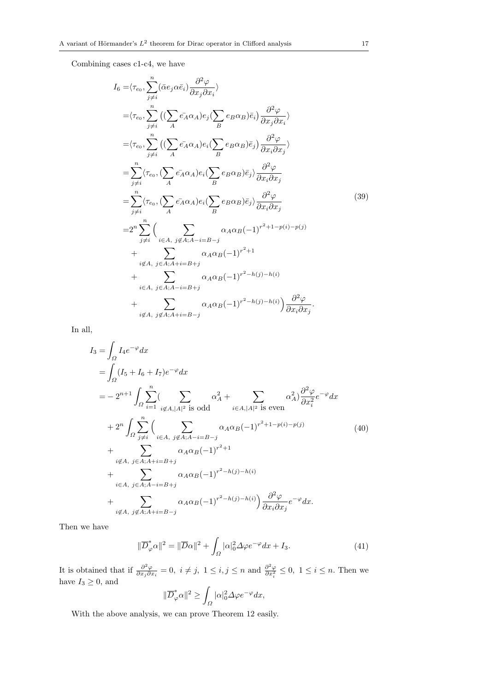Combining cases c1-c4, we have

$$
I_{6} = \langle \tau_{e_{0}}, \sum_{j \neq i}^{n} (\bar{\alpha}e_{j} \alpha \bar{e}_{i}) \frac{\partial^{2} \varphi}{\partial x_{j} \partial x_{i}} \rangle
$$
  
\n
$$
= \langle \tau_{e_{0}}, \sum_{j \neq i}^{n} ((\sum_{A} \bar{e_{A}} \alpha_{A}) e_{j} (\sum_{B} e_{B} \alpha_{B}) \bar{e}_{i}) \frac{\partial^{2} \varphi}{\partial x_{j} \partial x_{i}} \rangle
$$
  
\n
$$
= \langle \tau_{e_{0}}, \sum_{j \neq i}^{n} ((\sum_{A} \bar{e_{A}} \alpha_{A}) e_{i} (\sum_{B} e_{B} \alpha_{B}) \bar{e}_{j}) \frac{\partial^{2} \varphi}{\partial x_{i} \partial x_{j}} \rangle
$$
  
\n
$$
= \sum_{j \neq i}^{n} \langle \tau_{e_{0}}, (\sum_{A} \bar{e_{A}} \alpha_{A}) e_{i} (\sum_{B} e_{B} \alpha_{B}) \bar{e}_{j} \rangle \frac{\partial^{2} \varphi}{\partial x_{i} \partial x_{j}}
$$
  
\n
$$
= \sum_{j \neq i}^{n} \langle \tau_{e_{0}}, (\sum_{A} \bar{e_{A}} \alpha_{A}) e_{i} (\sum_{B} e_{B} \alpha_{B}) \bar{e}_{j} \rangle \frac{\partial^{2} \varphi}{\partial x_{i} \partial x_{j}}
$$
  
\n
$$
= 2^{n} \sum_{j \neq i}^{n} (\sum_{i \in A, j \notin A; A - i = B - j} \alpha_{A} \alpha_{B} (-1)^{r^{2}+1-p(i)-p(j)}
$$
  
\n
$$
+ \sum_{i \notin A, j \in A; A + i = B + j} \alpha_{A} \alpha_{B} (-1)^{r^{2}+1}
$$
  
\n
$$
+ \sum_{i \in A, j \in A; A - i = B + j} \alpha_{A} \alpha_{B} (-1)^{r^{2} - h(j) - h(i)}
$$
  
\n
$$
+ \sum_{i \notin A, j \notin A; A + i = B - j} \alpha_{A} \alpha_{B} (-1)^{r^{2} - h(j) - h(i)}
$$
  
\n
$$
\frac{\partial^{2} \varphi}{\partial x_{i} \partial x_{j}}.
$$

In all,

$$
I_3 = \int_{\Omega} I_4 e^{-\varphi} dx
$$
  
\n
$$
= \int_{\Omega} (I_5 + I_6 + I_7) e^{-\varphi} dx
$$
  
\n
$$
= -2^{n+1} \int_{\Omega} \sum_{i=1}^n (\sum_{i \notin A, |A|^2 \text{ is odd}} \alpha_A^2 + \sum_{i \in A, |A|^2 \text{ is even}} \alpha_A^2) \frac{\partial^2 \varphi}{\partial x_i^2} e^{-\varphi} dx
$$
  
\n
$$
+ 2^n \int_{\Omega} \sum_{j \neq i}^n (\sum_{i \in A, j \notin A; A - i = B - j} \alpha_A \alpha_B (-1)^{r^2 + 1 - p(i) - p(j)} + \sum_{i \notin A, j \in A; A + i = B + j} \alpha_A \alpha_B (-1)^{r^2 + 1}
$$
  
\n
$$
+ \sum_{i \in A, j \in A; A - i = B + j} \alpha_A \alpha_B (-1)^{r^2 - h(j) - h(i)}
$$
  
\n
$$
+ \sum_{i \notin A, j \notin A; A + i = B - j} \alpha_A \alpha_B (-1)^{r^2 - h(j) - h(i)} \frac{\partial^2 \varphi}{\partial x_i \partial x_j} e^{-\varphi} dx.
$$
  
\n(40)

Then we have

$$
\|\overline{D}_{\varphi}^*\alpha\|^2 = \|\overline{D}\alpha\|^2 + \int_{\Omega} |\alpha|_0^2 \Delta \varphi e^{-\varphi} dx + I_3. \tag{41}
$$

It is obtained that if  $\frac{\partial^2 \varphi}{\partial x \cdot \partial y}$  $\frac{\partial^2 \varphi}{\partial x_i \partial x_i} = 0$ ,  $i \neq j$ ,  $1 \leq i, j \leq n$  and  $\frac{\partial^2 \varphi}{\partial x_i^2}$  $\frac{\partial^2 \varphi}{\partial x_i^2}$  ≤ 0, 1 ≤ *i* ≤ *n*. Then we have  $I_3 \geq 0$ , and

$$
\|\overline{D}^*_\varphi\alpha\|^2\geq \int_\varOmega |\alpha|_0^2\varDelta\varphi e^{-\varphi}dx,
$$

With the above analysis, we can prove Theorem 12 easily.